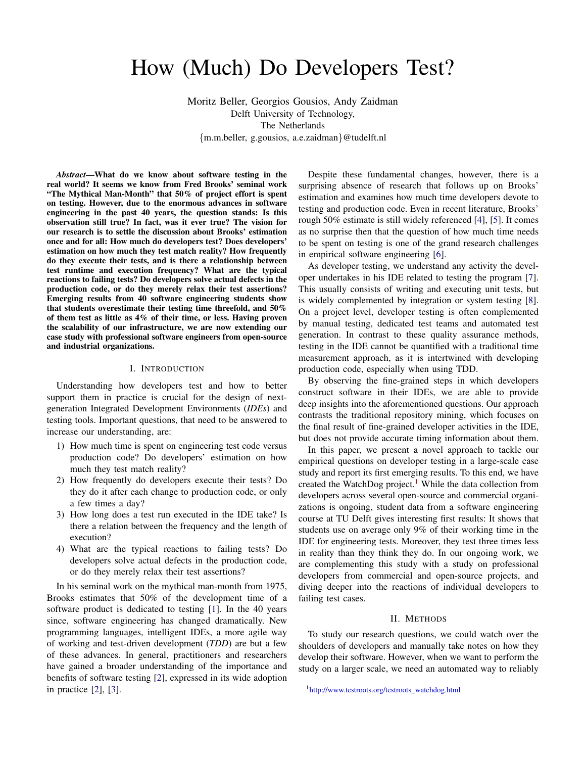# How (Much) Do Developers Test?

Moritz Beller, Georgios Gousios, Andy Zaidman Delft University of Technology, The Netherlands {m.m.beller, g.gousios, a.e.zaidman}@tudelft.nl

*Abstract*—What do we know about software testing in the real world? It seems we know from Fred Brooks' seminal work "The Mythical Man-Month" that 50% of project effort is spent on testing. However, due to the enormous advances in software engineering in the past 40 years, the question stands: Is this observation still true? In fact, was it ever true? The vision for our research is to settle the discussion about Brooks' estimation once and for all: How much do developers test? Does developers' estimation on how much they test match reality? How frequently do they execute their tests, and is there a relationship between test runtime and execution frequency? What are the typical reactions to failing tests? Do developers solve actual defects in the production code, or do they merely relax their test assertions? Emerging results from 40 software engineering students show that students overestimate their testing time threefold, and 50% of them test as little as 4% of their time, or less. Having proven the scalability of our infrastructure, we are now extending our case study with professional software engineers from open-source and industrial organizations.

#### I. INTRODUCTION

Understanding how developers test and how to better support them in practice is crucial for the design of nextgeneration Integrated Development Environments (*IDEs*) and testing tools. Important questions, that need to be answered to increase our understanding, are:

- 1) How much time is spent on engineering test code versus production code? Do developers' estimation on how much they test match reality?
- 2) How frequently do developers execute their tests? Do they do it after each change to production code, or only a few times a day?
- 3) How long does a test run executed in the IDE take? Is there a relation between the frequency and the length of execution?
- 4) What are the typical reactions to failing tests? Do developers solve actual defects in the production code, or do they merely relax their test assertions?

In his seminal work on the mythical man-month from 1975, Brooks estimates that 50% of the development time of a software product is dedicated to testing [\[1\]](#page-3-0). In the 40 years since, software engineering has changed dramatically. New programming languages, intelligent IDEs, a more agile way of working and test-driven development (*TDD*) are but a few of these advances. In general, practitioners and researchers have gained a broader understanding of the importance and benefits of software testing [\[2\]](#page-3-1), expressed in its wide adoption in practice [\[2\]](#page-3-1), [\[3\]](#page-3-2).

Despite these fundamental changes, however, there is a surprising absence of research that follows up on Brooks' estimation and examines how much time developers devote to testing and production code. Even in recent literature, Brooks' rough 50% estimate is still widely referenced [\[4\]](#page-3-3), [\[5\]](#page-3-4). It comes as no surprise then that the question of how much time needs to be spent on testing is one of the grand research challenges in empirical software engineering [\[6\]](#page-3-5).

As developer testing, we understand any activity the developer undertakes in his IDE related to testing the program [\[7\]](#page-3-6). This usually consists of writing and executing unit tests, but is widely complemented by integration or system testing [\[8\]](#page-3-7). On a project level, developer testing is often complemented by manual testing, dedicated test teams and automated test generation. In contrast to these quality assurance methods, testing in the IDE cannot be quantified with a traditional time measurement approach, as it is intertwined with developing production code, especially when using TDD.

By observing the fine-grained steps in which developers construct software in their IDEs, we are able to provide deep insights into the aforementioned questions. Our approach contrasts the traditional repository mining, which focuses on the final result of fine-grained developer activities in the IDE, but does not provide accurate timing information about them.

In this paper, we present a novel approach to tackle our empirical questions on developer testing in a large-scale case study and report its first emerging results. To this end, we have created the WatchDog project.<sup>[1](#page-0-0)</sup> While the data collection from developers across several open-source and commercial organizations is ongoing, student data from a software engineering course at TU Delft gives interesting first results: It shows that students use on average only 9% of their working time in the IDE for engineering tests. Moreover, they test three times less in reality than they think they do. In our ongoing work, we are complementing this study with a study on professional developers from commercial and open-source projects, and diving deeper into the reactions of individual developers to failing test cases.

#### II. METHODS

To study our research questions, we could watch over the shoulders of developers and manually take notes on how they develop their software. However, when we want to perform the study on a larger scale, we need an automated way to reliably

<span id="page-0-0"></span><sup>&</sup>lt;sup>1</sup>[http://www.testroots.org/testroots](http://www.testroots.org/testroots_watchdog.html)\_watchdog.html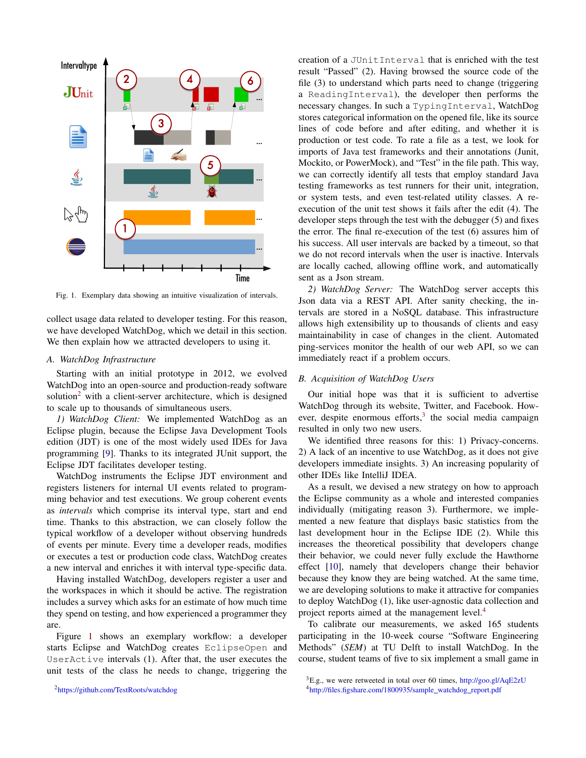

<span id="page-1-1"></span>Fig. 1. Exemplary data showing an intuitive visualization of intervals.

collect usage data related to developer testing. For this reason, we have developed WatchDog, which we detail in this section. We then explain how we attracted developers to using it.

## *A. WatchDog Infrastructure*

Starting with an initial prototype in 2012, we evolved WatchDog into an open-source and production-ready software solution<sup>[2](#page-1-0)</sup> with a client-server architecture, which is designed to scale up to thousands of simultaneous users.

*1) WatchDog Client:* We implemented WatchDog as an Eclipse plugin, because the Eclipse Java Development Tools edition (JDT) is one of the most widely used IDEs for Java programming [\[9\]](#page-3-8). Thanks to its integrated JUnit support, the Eclipse JDT facilitates developer testing.

WatchDog instruments the Eclipse JDT environment and registers listeners for internal UI events related to programming behavior and test executions. We group coherent events as *intervals* which comprise its interval type, start and end time. Thanks to this abstraction, we can closely follow the typical workflow of a developer without observing hundreds of events per minute. Every time a developer reads, modifies or executes a test or production code class, WatchDog creates a new interval and enriches it with interval type-specific data.

Having installed WatchDog, developers register a user and the workspaces in which it should be active. The registration includes a survey which asks for an estimate of how much time they spend on testing, and how experienced a programmer they are.

Figure [1](#page-1-1) shows an exemplary workflow: a developer starts Eclipse and WatchDog creates EclipseOpen and UserActive intervals (1). After that, the user executes the unit tests of the class he needs to change, triggering the

<span id="page-1-0"></span><sup>2</sup><https://github.com/TestRoots/watchdog>

creation of a JUnitInterval that is enriched with the test result "Passed" (2). Having browsed the source code of the file (3) to understand which parts need to change (triggering a ReadingInterval), the developer then performs the necessary changes. In such a TypingInterval, WatchDog stores categorical information on the opened file, like its source lines of code before and after editing, and whether it is production or test code. To rate a file as a test, we look for imports of Java test frameworks and their annotations (Junit, Mockito, or PowerMock), and "Test" in the file path. This way, we can correctly identify all tests that employ standard Java testing frameworks as test runners for their unit, integration, or system tests, and even test-related utility classes. A reexecution of the unit test shows it fails after the edit (4). The developer steps through the test with the debugger (5) and fixes the error. The final re-execution of the test (6) assures him of his success. All user intervals are backed by a timeout, so that we do not record intervals when the user is inactive. Intervals are locally cached, allowing offline work, and automatically sent as a Json stream.

*2) WatchDog Server:* The WatchDog server accepts this Json data via a REST API. After sanity checking, the intervals are stored in a NoSQL database. This infrastructure allows high extensibility up to thousands of clients and easy maintainability in case of changes in the client. Automated ping-services monitor the health of our web API, so we can immediately react if a problem occurs.

## *B. Acquisition of WatchDog Users*

Our initial hope was that it is sufficient to advertise WatchDog through its website, Twitter, and Facebook. However, despite enormous efforts, $3$  the social media campaign resulted in only two new users.

We identified three reasons for this: 1) Privacy-concerns. 2) A lack of an incentive to use WatchDog, as it does not give developers immediate insights. 3) An increasing popularity of other IDEs like IntelliJ IDEA.

As a result, we devised a new strategy on how to approach the Eclipse community as a whole and interested companies individually (mitigating reason 3). Furthermore, we implemented a new feature that displays basic statistics from the last development hour in the Eclipse IDE (2). While this increases the theoretical possibility that developers change their behavior, we could never fully exclude the Hawthorne effect [\[10\]](#page-3-9), namely that developers change their behavior because they know they are being watched. At the same time, we are developing solutions to make it attractive for companies to deploy WatchDog (1), like user-agnostic data collection and project reports aimed at the management level.[4](#page-1-3)

To calibrate our measurements, we asked 165 students participating in the 10-week course "Software Engineering Methods" (*SEM*) at TU Delft to install WatchDog. In the course, student teams of five to six implement a small game in

<span id="page-1-3"></span><span id="page-1-2"></span> ${}^{3}E.g.,$  we were retweeted in total over 60 times, <http://goo.gl/AqE2zU> <sup>4</sup>[http://files.figshare.com/1800935/sample](http://files.figshare.com/1800935/sample_watchdog_report.pdf) watchdog report.pdf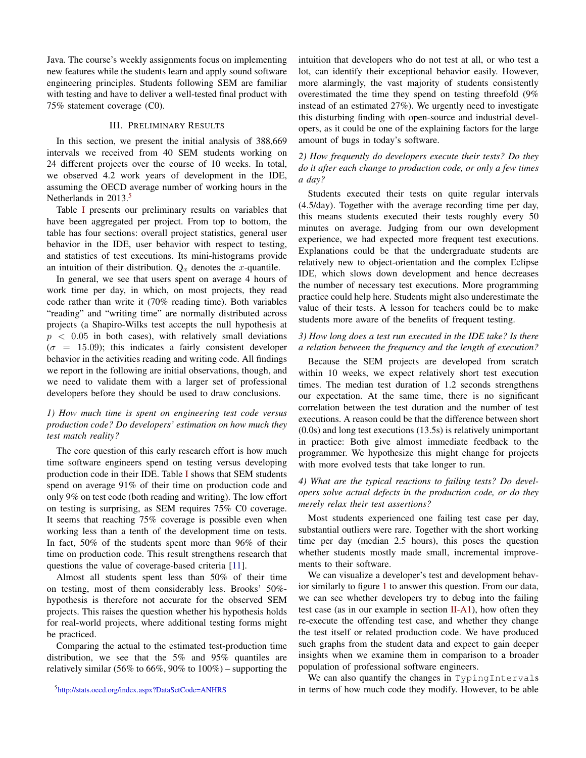Java. The course's weekly assignments focus on implementing new features while the students learn and apply sound software engineering principles. Students following SEM are familiar with testing and have to deliver a well-tested final product with 75% statement coverage (C0).

### III. PRELIMINARY RESULTS

In this section, we present the initial analysis of 388,669 intervals we received from 40 SEM students working on 24 different projects over the course of 10 weeks. In total, we observed 4.2 work years of development in the IDE, assuming the OECD average number of working hours in the Netherlands in 2013.<sup>[5](#page-2-0)</sup>

Table [I](#page-3-10) presents our preliminary results on variables that have been aggregated per project. From top to bottom, the table has four sections: overall project statistics, general user behavior in the IDE, user behavior with respect to testing, and statistics of test executions. Its mini-histograms provide an intuition of their distribution.  $Q_x$  denotes the x-quantile.

In general, we see that users spent on average 4 hours of work time per day, in which, on most projects, they read code rather than write it (70% reading time). Both variables "reading" and "writing time" are normally distributed across projects (a Shapiro-Wilks test accepts the null hypothesis at  $p < 0.05$  in both cases), with relatively small deviations  $(\sigma = 15.09)$ ; this indicates a fairly consistent developer behavior in the activities reading and writing code. All findings we report in the following are initial observations, though, and we need to validate them with a larger set of professional developers before they should be used to draw conclusions.

# *1) How much time is spent on engineering test code versus production code? Do developers' estimation on how much they test match reality?*

The core question of this early research effort is how much time software engineers spend on testing versus developing production code in their IDE. Table [I](#page-3-10) shows that SEM students spend on average 91% of their time on production code and only 9% on test code (both reading and writing). The low effort on testing is surprising, as SEM requires 75% C0 coverage. It seems that reaching 75% coverage is possible even when working less than a tenth of the development time on tests. In fact, 50% of the students spent more than 96% of their time on production code. This result strengthens research that questions the value of coverage-based criteria [\[11\]](#page-3-11).

Almost all students spent less than 50% of their time on testing, most of them considerably less. Brooks' 50% hypothesis is therefore not accurate for the observed SEM projects. This raises the question whether his hypothesis holds for real-world projects, where additional testing forms might be practiced.

Comparing the actual to the estimated test-production time distribution, we see that the 5% and 95% quantiles are relatively similar (56% to 66%, 90% to  $100\%$ ) – supporting the intuition that developers who do not test at all, or who test a lot, can identify their exceptional behavior easily. However, more alarmingly, the vast majority of students consistently overestimated the time they spend on testing threefold (9% instead of an estimated 27%). We urgently need to investigate this disturbing finding with open-source and industrial developers, as it could be one of the explaining factors for the large amount of bugs in today's software.

# *2) How frequently do developers execute their tests? Do they do it after each change to production code, or only a few times a day?*

Students executed their tests on quite regular intervals (4.5/day). Together with the average recording time per day, this means students executed their tests roughly every 50 minutes on average. Judging from our own development experience, we had expected more frequent test executions. Explanations could be that the undergraduate students are relatively new to object-orientation and the complex Eclipse IDE, which slows down development and hence decreases the number of necessary test executions. More programming practice could help here. Students might also underestimate the value of their tests. A lesson for teachers could be to make students more aware of the benefits of frequent testing.

# *3) How long does a test run executed in the IDE take? Is there a relation between the frequency and the length of execution?*

Because the SEM projects are developed from scratch within 10 weeks, we expect relatively short test execution times. The median test duration of 1.2 seconds strengthens our expectation. At the same time, there is no significant correlation between the test duration and the number of test executions. A reason could be that the difference between short (0.0s) and long test executions (13.5s) is relatively unimportant in practice: Both give almost immediate feedback to the programmer. We hypothesize this might change for projects with more evolved tests that take longer to run.

# *4) What are the typical reactions to failing tests? Do developers solve actual defects in the production code, or do they merely relax their test assertions?*

Most students experienced one failing test case per day, substantial outliers were rare. Together with the short working time per day (median 2.5 hours), this poses the question whether students mostly made small, incremental improvements to their software.

We can visualize a developer's test and development behavior similarly to figure [1](#page-1-1) to answer this question. From our data, we can see whether developers try to debug into the failing test case (as in our example in section  $II-A1$ ), how often they re-execute the offending test case, and whether they change the test itself or related production code. We have produced such graphs from the student data and expect to gain deeper insights when we examine them in comparison to a broader population of professional software engineers.

We can also quantify the changes in TypingIntervals in terms of how much code they modify. However, to be able

<span id="page-2-0"></span><sup>5</sup><http://stats.oecd.org/index.aspx?DataSetCode=ANHRS>